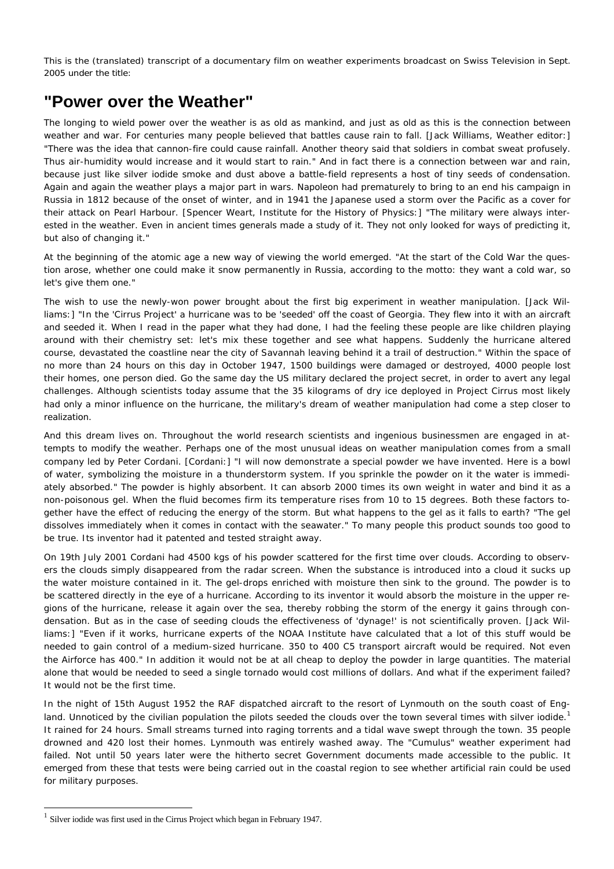This is the (translated) transcript of a documentary film on weather experiments broadcast on Swiss Television in Sept. 2005 under the title:

## **"Power over the Weather"**

The longing to wield power over the weather is as old as mankind, and just as old as this is the connection between weather and war. For centuries many people believed that battles cause rain to fall. [Jack Williams, Weather editor:] "There was the idea that cannon-fire could cause rainfall. Another theory said that soldiers in combat sweat profusely. Thus air-humidity would increase and it would start to rain." And in fact there is a connection between war and rain, because just like silver iodide smoke and dust above a battle-field represents a host of tiny seeds of condensation. Again and again the weather plays a major part in wars. Napoleon had prematurely to bring to an end his campaign in Russia in 1812 because of the onset of winter, and in 1941 the Japanese used a storm over the Pacific as a cover for their attack on Pearl Harbour. [Spencer Weart, Institute for the History of Physics:] "The military were always interested in the weather. Even in ancient times generals made a study of it. They not only looked for ways of predicting it, but also of changing it."

At the beginning of the atomic age a new way of viewing the world emerged. "At the start of the Cold War the question arose, whether one could make it snow permanently in Russia, according to the motto: they want a cold war, so let's give them one."

The wish to use the newly-won power brought about the first big experiment in weather manipulation. [Jack Williams:] "In the 'Cirrus Project' a hurricane was to be 'seeded' off the coast of Georgia. They flew into it with an aircraft and seeded it. When I read in the paper what they had done, I had the feeling these people are like children playing around with their chemistry set: let's mix these together and see what happens. Suddenly the hurricane altered course, devastated the coastline near the city of Savannah leaving behind it a trail of destruction." Within the space of no more than 24 hours on this day in October 1947, 1500 buildings were damaged or destroyed, 4000 people lost their homes, one person died. *Go the same day the US military declared the project secret,* in order to avert any legal challenges. Although scientists today assume that the 35 kilograms of dry ice deployed in Project Cirrus most likely had only a minor influence on the hurricane, the military's dream of weather manipulation had come a step closer to realization.

And this dream lives on. Throughout the world *research scientists and ingenious businessmen* are engaged in attempts to modify the weather. Perhaps one of the most unusual ideas on weather manipulation comes from a small company led by Peter Cordani. [Cordani:] "I will now demonstrate a special powder we have invented. Here is a bowl of water, symbolizing the moisture in a thunderstorm system. If you sprinkle the powder on it the water is immediately absorbed." The powder is highly absorbent. It can absorb 2000 times its own weight in water and bind it as a non-poisonous gel. When the fluid becomes firm its temperature rises from 10 to 15 degrees. Both these factors together have the effect of reducing the energy of the storm. But what happens to the gel as it falls to earth? "The gel dissolves immediately when it comes in contact with the seawater." To many people this product sounds too good to be true. Its inventor had it patented and tested straight away.

On 19th July 2001 Cordani had 4500 kgs of his powder scattered for the first time over clouds. According to observers the clouds simply disappeared from the radar screen. When the substance is introduced into a cloud it sucks up the water moisture contained in it. The gel-drops enriched with moisture then sink to the ground. The powder is to be scattered directly in the eye of a hurricane. According to its inventor it would absorb the moisture in the upper regions of the hurricane, release it again over the sea, thereby robbing the storm of the energy it gains through condensation. But as in the case of seeding clouds the effectiveness of 'dynage!' is *not scientifically proven.* [Jack Williams:] "Even if it works, hurricane experts of the NOAA Institute have calculated that a lot of this stuff would be needed to gain control of a medium-sized hurricane. 350 to 400 C5 transport aircraft would be required. Not even the Airforce has 400." In addition it would not be at all cheap to deploy the powder in large quantities. The material alone that would be needed to seed a single tornado would cost millions of dollars. And what if the experiment failed? It would not be the first time.

In the night of 15th August 1952 the RAF dispatched aircraft to the resort of Lynmouth on the south coast of England. *Unnoticed by the civilian population* the pilots seeded the clouds over the town several times with silver iodide.<sup>[1](#page-0-0)</sup> It rained for 24 hours. Small streams turned into raging torrents and a tidal wave swept through the town. 35 people drowned and 420 lost their homes. Lynmouth was entirely washed away. The "Cumulus" weather experiment had failed. *Not until 50 years later were the hitherto secret Government documents made accessible to the public.* It emerged from these that tests were being carried out in the coastal region to see whether artificial rain could be used for military purposes.

l

<span id="page-0-0"></span><sup>&</sup>lt;sup>1</sup> Silver iodide was first used in the Cirrus Project which began in February 1947.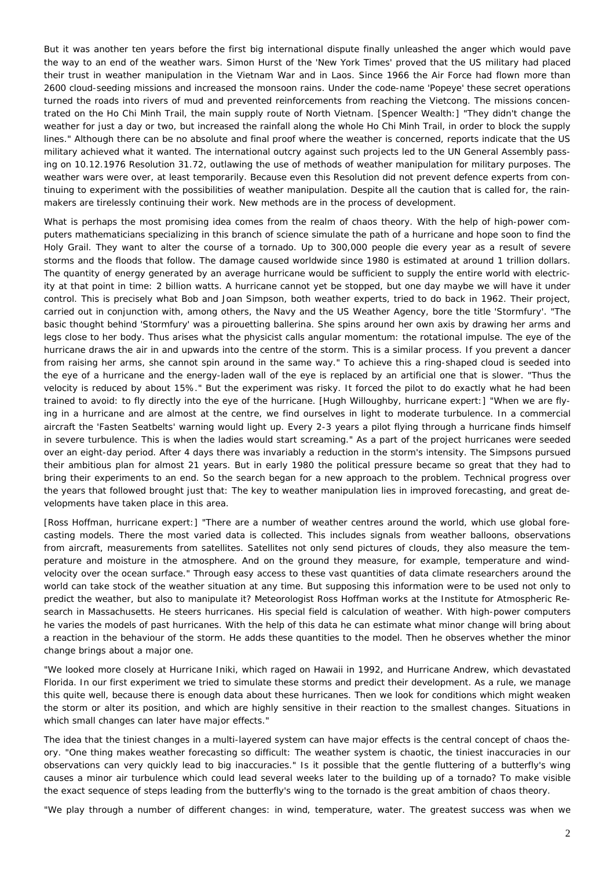But it was another ten years before the first big international dispute finally unleashed the anger which would pave the way to an end of the weather wars. Simon Hurst of the 'New York Times' proved that the US military had placed their trust in weather manipulation in the Vietnam War and in Laos. Since 1966 the Air Force had flown more than 2600 cloud-seeding missions and increased the monsoon rains. Under the code-name 'Popeye' these *secret operations* turned the roads into rivers of mud and prevented reinforcements from reaching the Vietcong. The missions concentrated on the Ho Chi Minh Trail, the main supply route of North Vietnam. [Spencer Wealth:] "They didn't change the weather for just a day or two, but increased the rainfall along the whole Ho Chi Minh Trail, in order to block the supply lines." Although there can be no absolute and final proof where the weather is concerned, reports indicate that the US military achieved what it wanted. The international outcry against such projects led to the UN General Assembly passing on 10.12.1976 Resolution 31.72, *outlawing the use of methods of weather manipulation for military purposes.* The weather wars were over, at least temporarily. Because even this Resolution did not prevent defence experts from continuing to experiment with the possibilities of weather manipulation. *Despite all the caution that is called for, the rainmakers are tirelessly continuing their work.* New methods are in the process of development.

What is perhaps the most promising idea comes from the realm of chaos theory. With the help of high-power computers mathematicians specializing in this branch of science simulate the path of a hurricane and hope soon to find *the Holy Grail.* They want to alter the course of a tornado. Up to 300,000 people die every year as a result of severe storms and the floods that follow. The damage caused worldwide since 1980 is estimated at around 1 trillion dollars. The quantity of energy generated by an average hurricane would be sufficient to supply the entire world with electricity at that point in time: 2 billion watts. A hurricane cannot yet be stopped, but one day maybe we will have it under control. This is precisely what Bob and Joan Simpson, both weather experts, tried to do back in 1962. Their project, carried out in conjunction with, among others, the Navy and the US Weather Agency, bore the title 'Stormfury'. "The basic thought behind 'Stormfury' was a pirouetting ballerina. She spins around her own axis by drawing her arms and legs close to her body. Thus arises what the physicist calls angular momentum: the rotational impulse. The eye of the hurricane draws the air in and upwards into the centre of the storm. This is a similar process. If you prevent a dancer from raising her arms, she cannot spin around in the same way." To achieve this a ring-shaped cloud is seeded into the eye of a hurricane and the energy-laden wall of the eye is replaced by an artificial one that is slower. "Thus the velocity is reduced by about 15%." But the experiment was risky. It forced the pilot to do exactly what he had been trained to avoid: to fly directly into the eye of the hurricane. [Hugh Willoughby, hurricane expert:] "When we are flying in a hurricane and are almost at the centre, we find ourselves in light to moderate turbulence. In a commercial aircraft the 'Fasten Seatbelts' warning would light up. Every 2-3 years a pilot flying through a hurricane finds himself in severe turbulence. This is when the ladies would start screaming." As a part of the project hurricanes were seeded over an eight-day period. After 4 days there was invariably a reduction in the storm's intensity. The Simpsons pursued their ambitious plan for almost 21 years. But in early 1980 the *political pressure* became so great that they had to bring their experiments to an end. So the search began for a new approach to the problem. Technical progress over the years that followed brought just that: The key to weather manipulation lies in improved forecasting, and great developments have taken place in this area.

[Ross Hoffman, hurricane expert:] "There are a number of weather centres around the world, which use global forecasting models. There the most varied data is collected. This includes signals from weather balloons, observations from aircraft, measurements from satellites. Satellites not only send pictures of clouds, they also measure the temperature and moisture in the atmosphere. And on the ground they measure, for example, temperature and windvelocity over the ocean surface." Through easy access to these vast quantities of data climate researchers around the world can take stock of the weather situation at any time. But supposing this information were to be used not only to predict the weather, but also to manipulate it? Meteorologist Ross Hoffman works at the Institute for Atmospheric Research in Massachusetts. *He steers hurricanes.* His special field is calculation of weather. With high-power computers he varies the models of past hurricanes. With the help of this data he can estimate what minor change will bring about a reaction in the behaviour of the storm. He adds these quantities to the model. Then he observes whether the minor change brings about a major one.

"We looked more closely at Hurricane Iniki, which raged on Hawaii in 1992, and Hurricane Andrew, which devastated Florida. In our first experiment we tried to simulate these storms and predict their development. As a rule, we manage this quite well, because there is enough data about these hurricanes. Then we look for *conditions which might weaken the storm or alter its position, and which are highly sensitive in their reaction to the smallest changes.* Situations in which small changes can later have major effects."

The idea that the tiniest changes in a multi-layered system can have major effects is the central concept of chaos theory. "One thing makes weather forecasting so difficult: The weather system is chaotic, the tiniest inaccuracies in our observations can very quickly lead to big inaccuracies." Is it possible that the gentle fluttering of a butterfly's wing causes a minor air turbulence which could lead several weeks later to the building up of a tornado? To make visible the exact sequence of steps leading from the butterfly's wing to the tornado is the great ambition of chaos theory.

"We play through a number of different changes: in wind, temperature, water. The greatest success was when we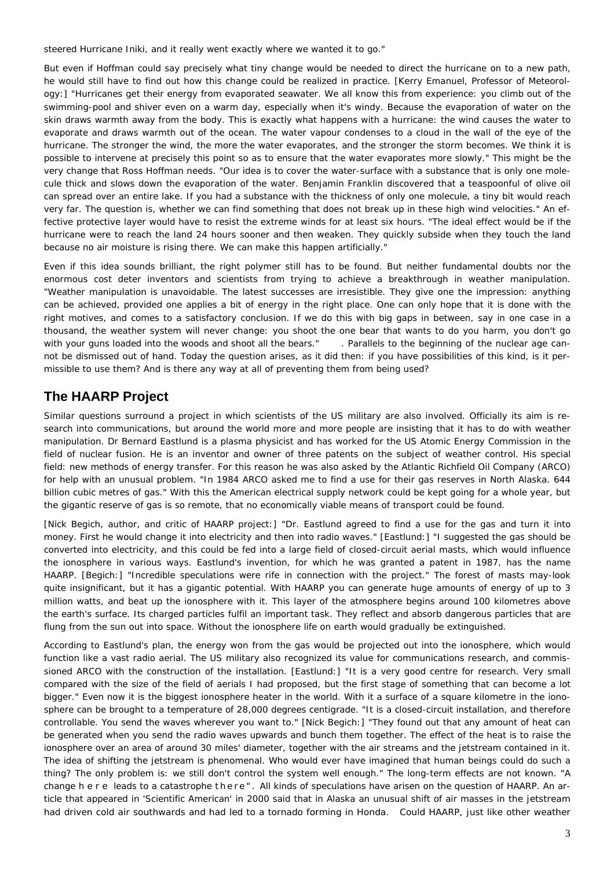steered Hurricane Iniki, and *it really went exactly where we wanted it to go."*

But even if Hoffman could say precisely what tiny change would be needed to direct the hurricane on to a new path, he would still have to find out how this change could be realized in practice. [Kerry Emanuel, Professor of Meteorology:] "Hurricanes get their energy from evaporated seawater. We all know this from experience: you climb out of the swimming-pool and shiver even on a warm day, especially when it's windy. Because the evaporation of water on the skin draws warmth away from the body. This is exactly what happens with a hurricane: the wind causes the water to evaporate and draws warmth out of the ocean. The water vapour condenses to a cloud in the wall of the eye of the hurricane. The stronger the wind, the more the water evaporates, and the stronger the storm becomes. We think it is possible to intervene at precisely this point so as to ensure that the water evaporates more slowly." This might be the very change that Ross Hoffman needs. "Our idea is to cover the water-surface with a substance that is only one molecule thick and slows down the evaporation of the water. Benjamin Franklin discovered that a teaspoonful of olive oil can spread over an entire lake. If you had a substance with the thickness of only one molecule, a tiny bit would reach very far. The question is, whether we can find something that does not break up in these high wind velocities." An effective protective layer would have to resist the extreme winds for at least six hours. "The ideal effect would be if the hurricane were to reach the land 24 hours sooner and then weaken. They quickly subside when they touch the land because no air moisture is rising there. We can make this happen artificially."

Even if this idea sounds brilliant, the right polymer still has to be found. But neither fundamental doubts nor the enormous cost deter inventors and scientists from trying to achieve a breakthrough in weather manipulation. *"Weather manipulation is unavoidable.* The latest successes are irresistible. They give one the impression: *anything can be achieved,* provided one applies a bit of energy in the right place. *One can only hope that it is done with the right motives,* and comes to a satisfactory conclusion. If we do this with big gaps in between, say in one case in a thousand, the weather system will never change: you shoot the *one* bear that wants to do you harm, you don't go with your guns loaded into the woods and shoot *all* the bears." . Parallels to the beginning of the nuclear age cannot be dismissed out of hand. Today the question arises, as it did then: if you have possibilities of this kind, is it permissible to use them? And is there any way at all of preventing them from being used?

## **The HAARP Project**

Similar questions surround a project in which scientists of the US military are also involved. Officially its aim is research into communications, but around the world more and more people are insisting that it has to do with weather manipulation. Dr Bernard Eastlund is a plasma physicist and has worked for the US Atomic Energy Commission in the field of nuclear fusion. He is an inventor and owner of three patents on the subject of weather control. His special field: new methods of energy transfer. For this reason he was also asked by the Atlantic Richfield Oil Company (ARCO) for help with an unusual problem. "In 1984 ARCO asked me to find a use for their gas reserves in North Alaska. 644 billion cubic metres of gas." With this the American electrical supply network could be kept going for a whole year, but the gigantic reserve of gas is so remote, that no economically viable means of transport could be found.

[Nick Begich, author, and critic of HAARP project:] "Dr. Eastlund agreed to find a use for the gas and turn it into money. First he would change it into electricity and then into radio waves." [Eastlund:] "I suggested the gas should be converted into electricity, and this could be fed into a large field of closed-circuit aerial masts, which would influence the ionosphere in various ways. Eastlund's invention, for which he was granted a patent in 1987, has the name HAARP. [Begich:] "Incredible speculations were rife in connection with the project." The forest of masts may-look quite insignificant, but it has a gigantic potential. With HAARP you can generate huge amounts of energy of *up to 3 million watts, and beat up the ionosphere with it.* This layer of the atmosphere begins around 100 kilometres above the earth's surface. Its charged particles fulfil an important task. They reflect and absorb dangerous particles that are flung from the sun out into space. Without the ionosphere life on earth would gradually be extinguished.

According to Eastlund's plan, the energy won from the gas would be projected out into the ionosphere, which would function like a vast radio aerial. The *US military* also recognized its value for communications research, and *commissioned ARCO with the construction of the installation.* [Eastlund:] "It is a very good centre for research. Very small compared with the size of the field of aerials I had proposed, but the first stage of something that can become a lot bigger." Even now it is the biggest ionosphere heater in the world. With it a surface of a square kilometre in the ionosphere can be brought to a *temperature of 28,000 degrees centigrade.* "It is a closed-circuit installation, and therefore controllable. You send the waves wherever you want to." [Nick Begich:] "They found out that any amount of heat can be generated when you send the radio waves upwards and bunch them together. The effect of the heat is to raise the ionosphere over an area of around 30 miles' diameter, together with the air streams and the jetstream contained in it. The idea of shifting the jetstream is phenomenal. Who would ever have imagined that human beings could do such a thing? The only problem is: we *still don't control the system well enough."* The long-term effects are not known. *"A change h e r e leads to a catastrophe t h e r e " .* All kinds of speculations have arisen on the question of HAARP. An article that appeared in 'Scientific American' in 2000 said that in Alaska an unusual shift of air masses in the jetstream had driven cold air southwards and *had led to a tornado forming in Honda.* Could HAARP, just like other weather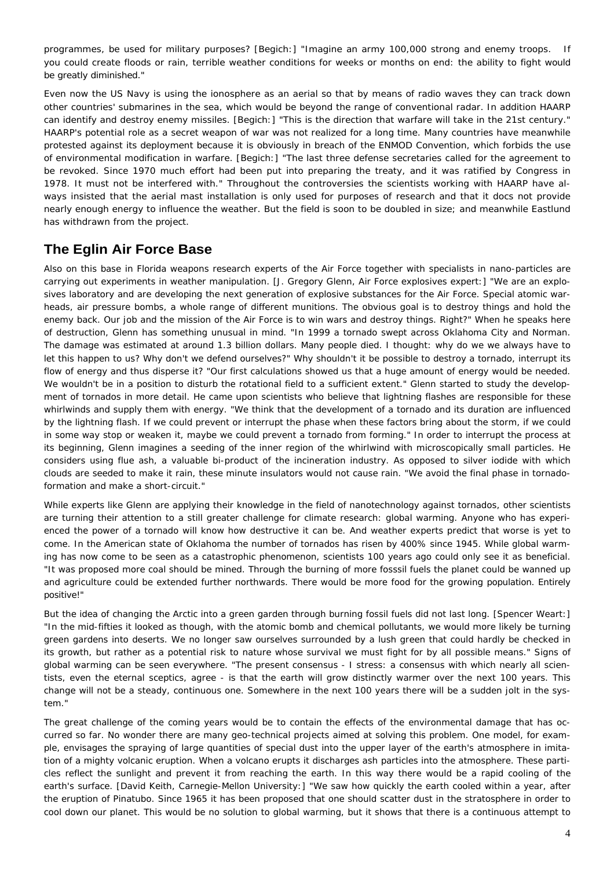*programmes,* be used for military purposes? [Begich:] "Imagine an army 100,000 strong and enemy troops. If you could create floods or rain, terrible weather conditions for weeks or months on end: the ability to fight would be greatly diminished."

Even now the US Navy is using the ionosphere as an aerial so that by means of radio waves they can track down other countries' *submarines in the sea,* which would be beyond the range of conventional radar. In addition HAARP can *identify and destroy enemy missiles.* [Begich:] "This is the direction that warfare will take in the 21st century." HAARP's potential role as a secret weapon of war was not realized for a long time. Many countries have meanwhile protested against its deployment because it is obviously in breach of the ENMOD Convention, which forbids the use of environmental modification in warfare. [Begich:] "The last three defense secretaries called for the agreement to be revoked. Since 1970 much effort had been put into preparing the treaty, and it was ratified by Congress in 1978. It must not be interfered with." Throughout the controversies the scientists working with HAARP have always insisted that the aerial mast installation is only used for purposes of research and that it docs not provide nearly enough energy to influence the weather. But the field is soon to be doubled in size; and meanwhile Eastlund has withdrawn from the project.

## **The Eglin Air Force Base**

Also on this base in Florida weapons research experts of the Air Force together with specialists in nano-particles are carrying out experiments in weather manipulation. [J. Gregory Glenn, Air Force explosives expert:] "We are an explosives laboratory and are developing the next generation of explosive substances for the Air Force. Special atomic warheads, air pressure bombs, a whole range of different munitions. The obvious goal is to destroy things and hold the enemy back. Our job and the mission of the Air Force is to win wars and destroy things. Right?" When he speaks here of destruction, Glenn has something unusual in mind. "In 1999 a tornado swept across Oklahoma City and Norman. The damage was estimated at around 1.3 billion dollars. Many people died. I thought: why do we we always have to let this happen to us? Why don't we defend ourselves?" Why shouldn't it be possible to destroy a tornado, interrupt its flow of energy and thus disperse it? "Our first calculations showed us that a huge amount of energy would be needed. We wouldn't be in a position to disturb the rotational field to a sufficient extent." Glenn started to study the development of tornados in more detail. He came upon scientists who believe that lightning flashes are responsible for these whirlwinds and supply them with energy. "We think that the development of a tornado and its duration are influenced by the lightning flash. If we could prevent or interrupt the phase when these factors bring about the storm, if we could in some way stop or weaken it, maybe we could prevent a tornado from forming." In order to interrupt the process at its beginning, Glenn imagines a seeding of the inner region of the whirlwind with microscopically small particles. He considers using flue ash, a valuable bi-product of the incineration industry. As opposed to silver iodide with which clouds are seeded to make it rain, these minute insulators would not cause rain. "We avoid the final phase in tornadoformation and make a short-circuit."

While experts like Glenn are applying their knowledge in the field of nanotechnology against tornados, other scientists are turning their attention to a still greater challenge for climate research: global warming. Anyone who has experienced the power of a tornado will know how destructive it can be. And weather experts predict that worse is yet to come. In the American state of Oklahoma *the number of tornados has risen by 400% since 1945.* While global warming has now come to be seen as a catastrophic phenomenon, scientists 100 years ago could only see it as beneficial. "It was proposed more coal should be mined. Through the burning of more fosssil fuels the planet could be wanned up and agriculture could be extended further northwards. There would be more food for the growing population. Entirely positive!"

But the idea of changing the Arctic into a green garden through burning fossil fuels did not last long. [Spencer Weart:] "In the mid-fifties it looked as though, with the atomic bomb and chemical pollutants, we would more likely be turning green gardens into deserts. We no longer saw ourselves surrounded by a lush green that could hardly be checked in its growth, but rather as a potential risk to nature whose survival we must fight for by all possible means." Signs of global warming can be seen everywhere. "The present consensus - I stress: a consensus with which nearly all scientists, even the eternal sceptics, agree - is that the earth will grow distinctly warmer over the next 100 years. This change will not be a steady, continuous one. Somewhere in the next 100 years there will be a sudden jolt in the system."

The great challenge of the coming years would be to contain the effects of the environmental damage that has occurred so far. No wonder there are many geo-technical projects aimed at solving this problem. One model, for example, envisages the spraying of large quantities of special dust into the upper layer of the earth's atmosphere in imitation of a mighty volcanic eruption. When a volcano erupts it discharges ash particles into the atmosphere. These particles reflect the sunlight and prevent it from reaching the earth. In this way there would be a rapid cooling of the earth's surface. [David Keith, Carnegie-Mellon University:] "We saw how quickly the earth cooled within a year, after the eruption of Pinatubo. Since 1965 it has been proposed that one should scatter dust in the stratosphere in order to cool down our planet. This would be no solution to global warming, but it shows that there is a continuous attempt to